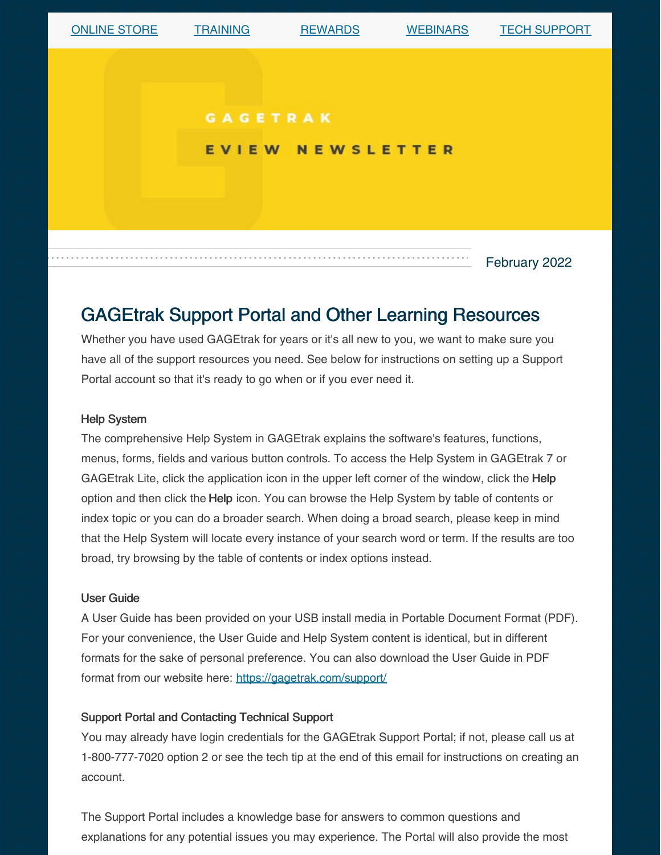

# GAGEtrak Support Portal and Other Learning Resources

Whether you have used GAGEtrak for years or it's all new to you, we want to make sure you have all of the support resources you need. See below for instructions on setting up a Support Portal account so that it's ready to go when or if you ever need it.

#### Help System

The comprehensive Help System in GAGEtrak explains the software's features, functions, menus, forms, fields and various button controls. To access the Help System in GAGEtrak 7 or GAGEtrak Lite, click the application icon in the upper left corner of the window, click the Help option and then click the Help icon. You can browse the Help System by table of contents or index topic or you can do a broader search. When doing a broad search, please keep in mind that the Help System will locate every instance of your search word or term. If the results are too broad, try browsing by the table of contents or index options instead.

#### User Guide

A User Guide has been provided on your USB install media in Portable Document Format (PDF). For your convenience, the User Guide and Help System content is identical, but in different formats for the sake of personal preference. You can also download the User Guide in PDF format from our website here: <https://gagetrak.com/support/>

#### Support Portal and Contacting Technical Support

You may already have login credentials for the GAGEtrak Support Portal; if not, please call us at 1-800-777-7020 option 2 or see the tech tip at the end of this email for instructions on creating an account.

The Support Portal includes a knowledge base for answers to common questions and explanations for any potential issues you may experience. The Portal will also provide the most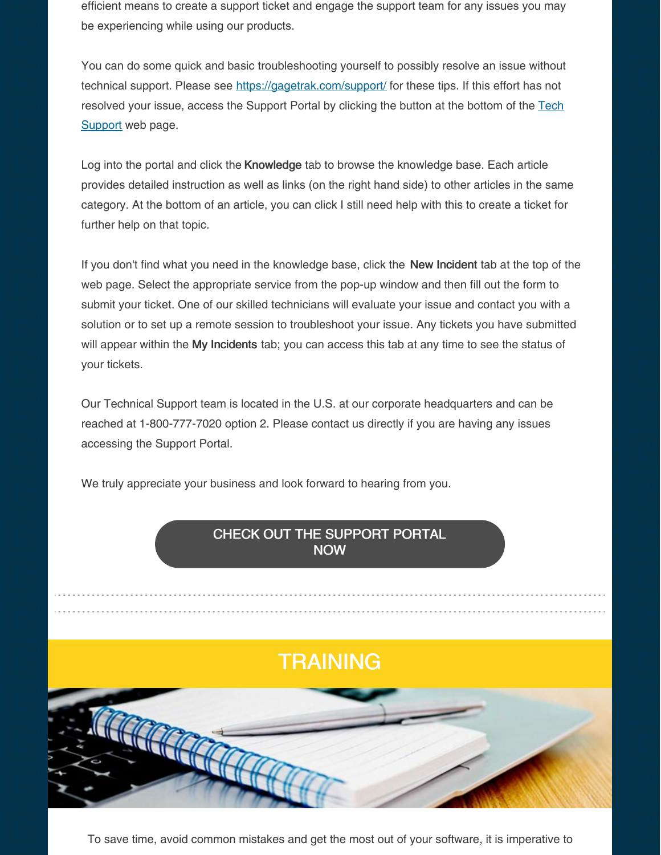efficient means to create a support ticket and engage the support team for any issues you may be experiencing while using our products.

You can do some quick and basic troubleshooting yourself to possibly resolve an issue without technical support. Please see <https://gagetrak.com/support/> for these tips. If this effort has not [resolved](https://gagetrak.com/support/) your issue, access the Support Portal by clicking the button at the bottom of the Tech Support web page.

Log into the portal and click the Knowledge tab to browse the knowledge base. Each article provides detailed instruction as well as links (on the right hand side) to other articles in the same category. At the bottom of an article, you can click I still need help with this to create a ticket for further help on that topic.

If you don't find what you need in the knowledge base, click the New Incident tab at the top of the web page. Select the appropriate service from the pop-up window and then fill out the form to submit your ticket. One of our skilled technicians will evaluate your issue and contact you with a solution or to set up a remote session to troubleshoot your issue. Any tickets you have submitted will appear within the My Incidents tab; you can access this tab at any time to see the status of your tickets.

Our Technical Support team is located in the U.S. at our corporate headquarters and can be reached at 1-800-777-7020 option 2. Please contact us directly if you are having any issues accessing the Support Portal.

We truly appreciate your business and look forward to hearing from you.

### CHECK OUT THE [SUPPORT](https://cybermetrics.assist.com/) PORTAL NOW

# **TRAINING**



To save time, avoid common mistakes and get the most out of your software, it is imperative to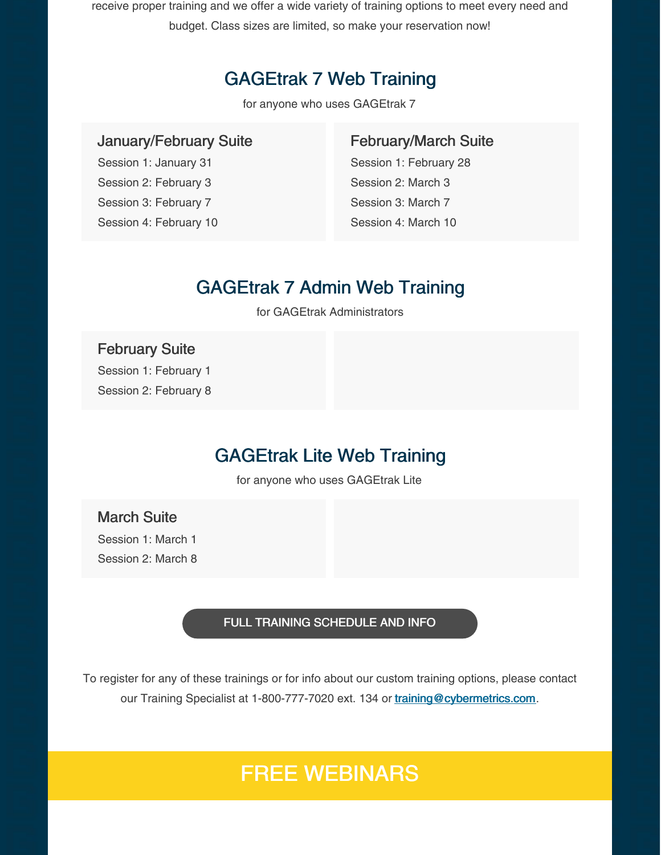receive proper training and we offer a wide variety of training options to meet every need and budget. Class sizes are limited, so make your reservation now!

## GAGEtrak 7 Web Training

for anyone who uses GAGEtrak 7

## January/February Suite

Session 1: January 31 Session 2: February 3 Session 3: February 7 Session 4: February 10

### February/March Suite

Session 1: February 28 Session 2: March 3 Session 3: March 7 Session 4: March 10

## GAGEtrak 7 Admin Web Training

for GAGEtrak Administrators

### February Suite

Session 1: February 1 Session 2: February 8

## GAGEtrak Lite Web Training

for anyone who uses GAGEtrak Lite

### March Suite

Session 1: March 1 Session 2: March 8

#### FULL TRAINING [SCHEDULE](https://gagetrak.com/training-schedule/) AND INFO

To register for any of these trainings or for info about our custom training options, please contact our Training Specialist at 1-800-777-7020 ext. 134 or [training@cybermetrics.com](mailto:training@cybermetrics.com).

# FREE WEBINARS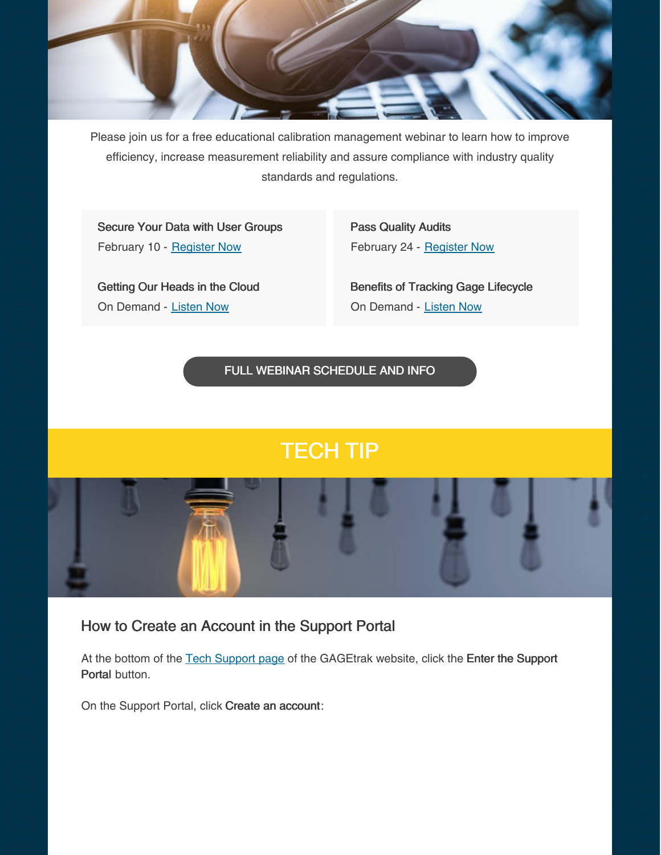

Please join us for a free educational calibration management webinar to learn how to improve efficiency, increase measurement reliability and assure compliance with industry quality standards and regulations.

Secure Your Data with User Groups February 10 - [Register](https://register.gotowebinar.com/register/4319428550633522445) Now

Pass Quality Audits February 24 - [Register](https://register.gotowebinar.com/register/6517380881860151056) Now

Getting Our Heads in the Cloud On Demand - [Listen](https://www.qualitymag.com/media/podcasts/2594-q-cast/play/170-globalization-forces-calibration-software-providers-to-get-their-heads-in-the-cloud) Now

Benefits of Tracking Gage Lifecycle On Demand - [Listen](https://www.qualitymag.com/media/podcasts/2594-q-cast/play/197-the-benefits-of-tracking-gage-lifecycle) Now

FULL WEBINAR [SCHEDULE](https://gagetrak.com/webinars/) AND INFO

# TECH TIP



## How to Create an Account in the Support Portal

At the bottom of the Tech [Support](https://gagetrak.com/support/) page of the GAGEtrak website, click the Enter the Support Portal button.

On the Support Portal, click Create an account: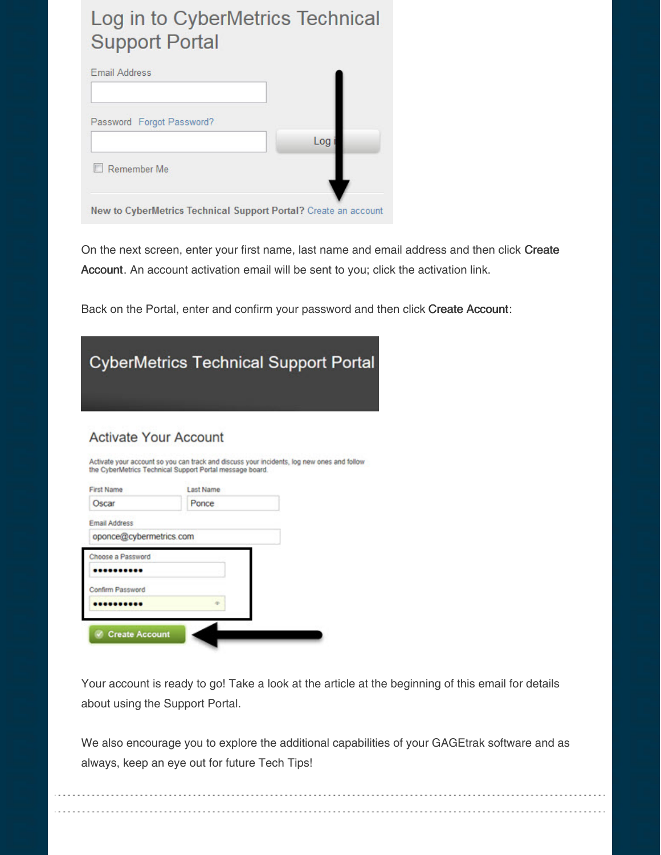# Log in to CyberMetrics Technical **Support Portal**

| <b>Email Address</b>      |     |
|---------------------------|-----|
| Password Forgot Password? |     |
|                           | Log |
| Remember Me               |     |

On the next screen, enter your first name, last name and email address and then click Create Account. An account activation email will be sent to you; click the activation link.

Back on the Portal, enter and confirm your password and then click Create Account:

|                                                   |                                                                       | <b>CyberMetrics Technical Support Porta</b>                                                |
|---------------------------------------------------|-----------------------------------------------------------------------|--------------------------------------------------------------------------------------------|
| <b>Activate Your Account</b><br><b>First Name</b> | the CyberMetrics Technical Support Portal message board.<br>Last Name | Activate your account so you can track and discuss your incidents, log new ones and follow |
| Oscar                                             | Ponce                                                                 |                                                                                            |
| <b>Email Address</b>                              |                                                                       |                                                                                            |
| oponce@cybermetrics.com                           |                                                                       |                                                                                            |
| Choose a Password                                 |                                                                       |                                                                                            |
| Confirm Password                                  |                                                                       |                                                                                            |
|                                                   |                                                                       |                                                                                            |

Create Account

Your account is ready to go! Take a look at the article at the beginning of this email for details about using the Support Portal.

We also encourage you to explore the additional capabilities of your GAGEtrak software and as always, keep an eye out for future Tech Tips!